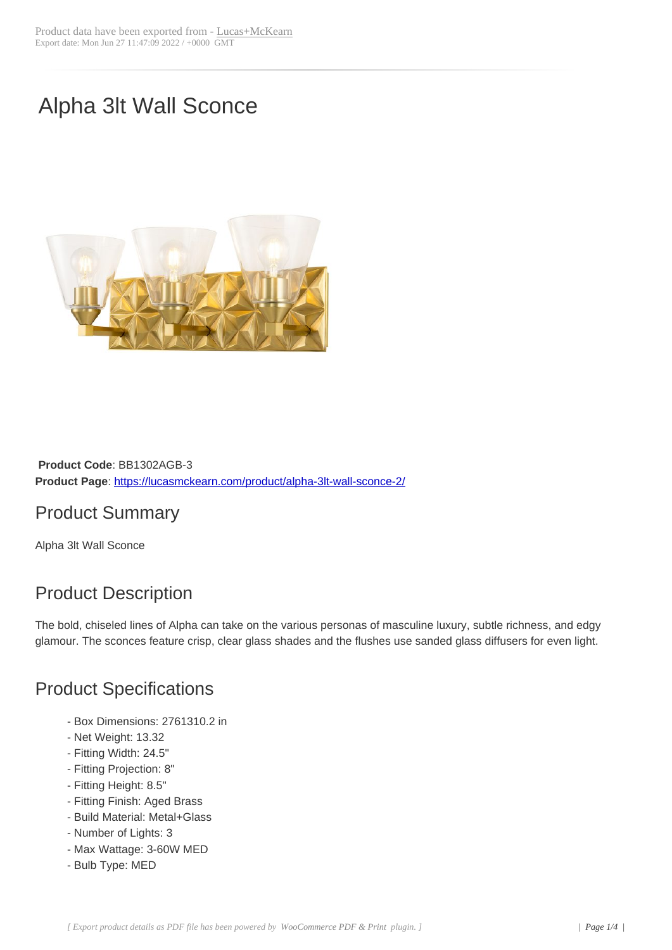# Alpha 3lt Wall Sconce



**Product Code**: BB1302AGB-3 **Product Page**: https://lucasmckearn.com/product/alpha-3lt-wall-sconce-2/

#### Product Summary

Alpha 3lt Wall [Sconce](https://lucasmckearn.com/product/alpha-3lt-wall-sconce-2/)

## Product Description

The bold, chiseled lines of Alpha can take on the various personas of masculine luxury, subtle richness, and edgy glamour. The sconces feature crisp, clear glass shades and the flushes use sanded glass diffusers for even light.

### Product Specifications

- Box Dimensions: 2761310.2 in
- Net Weight: 13.32
- Fitting Width: 24.5"
- Fitting Projection: 8"
- Fitting Height: 8.5"
- Fitting Finish: Aged Brass
- Build Material: Metal+Glass
- Number of Lights: 3
- Max Wattage: 3-60W MED
- Bulb Type: MED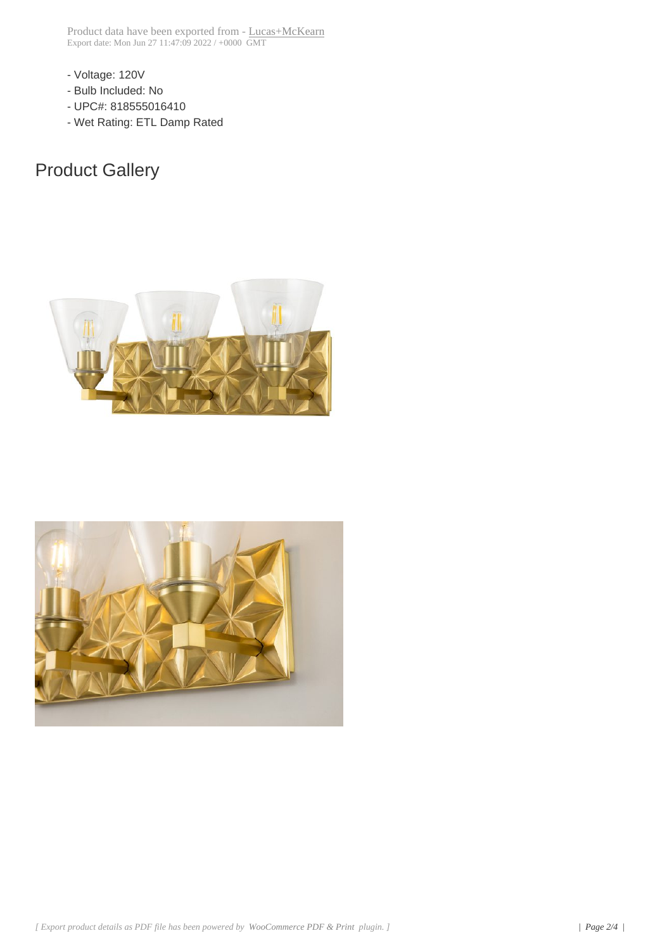- Voltage: 120V
- Bulb Included: No
- UPC#: 818555016410
- Wet Rating: ETL Damp Rated

## Product Gallery



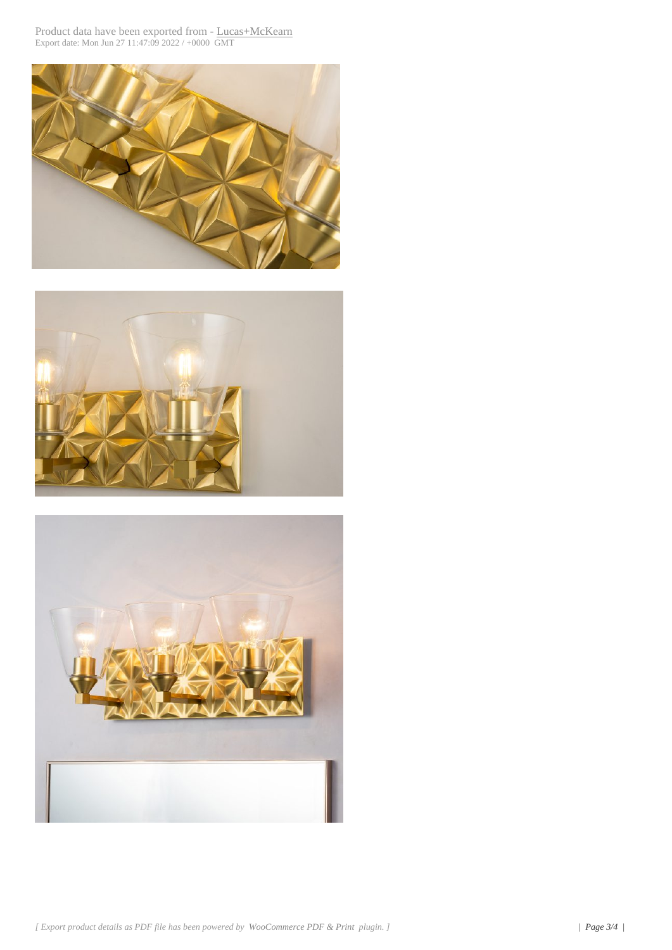